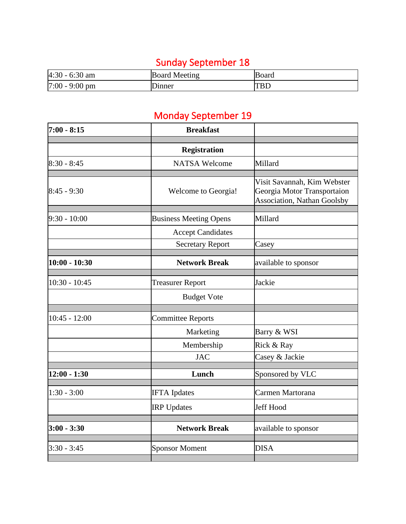## Sunday September 18

| $4:30 - 6:30$ am | <b>Board Meeting</b> | <b>Board</b> |
|------------------|----------------------|--------------|
| $7:00 - 9:00$ pm | Jinner               | TBL          |

## Monday September 19

| $7:00 - 8:15$   | <b>Breakfast</b>              |                                                                                                  |
|-----------------|-------------------------------|--------------------------------------------------------------------------------------------------|
|                 |                               |                                                                                                  |
|                 | <b>Registration</b>           |                                                                                                  |
| $8:30 - 8:45$   | <b>NATSA Welcome</b>          | Millard                                                                                          |
|                 |                               |                                                                                                  |
| $8:45 - 9:30$   | Welcome to Georgia!           | Visit Savannah, Kim Webster<br>Georgia Motor Transportaion<br><b>Association, Nathan Goolsby</b> |
|                 |                               |                                                                                                  |
| $9:30 - 10:00$  | <b>Business Meeting Opens</b> | Millard                                                                                          |
|                 | <b>Accept Candidates</b>      |                                                                                                  |
|                 | <b>Secretary Report</b>       | Casey                                                                                            |
| $10:00 - 10:30$ | <b>Network Break</b>          |                                                                                                  |
|                 |                               | available to sponsor                                                                             |
| $10:30 - 10:45$ | <b>Treasurer Report</b>       | Jackie                                                                                           |
|                 | <b>Budget Vote</b>            |                                                                                                  |
|                 |                               |                                                                                                  |
| $10:45 - 12:00$ | <b>Committee Reports</b>      |                                                                                                  |
|                 | Marketing                     | Barry & WSI                                                                                      |
|                 | Membership                    | Rick & Ray                                                                                       |
|                 | <b>JAC</b>                    | Casey & Jackie                                                                                   |
| $12:00 - 1:30$  | Lunch                         | Sponsored by VLC                                                                                 |
|                 |                               |                                                                                                  |
| $1:30 - 3:00$   | <b>IFTA</b> Ipdates           | Carmen Martorana                                                                                 |
|                 | <b>IRP</b> Updates            | Jeff Hood                                                                                        |
| $3:00 - 3:30$   | <b>Network Break</b>          |                                                                                                  |
|                 |                               | available to sponsor                                                                             |
| $3:30 - 3:45$   | <b>Sponsor Moment</b>         | <b>DISA</b>                                                                                      |
|                 |                               |                                                                                                  |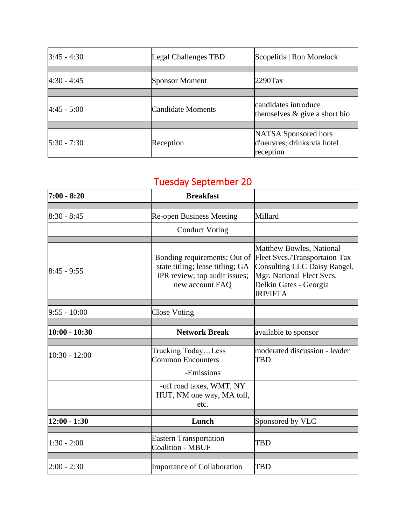| $3:45 - 4:30$  | Legal Challenges TBD | Scopelitis   Ron Morelock                                        |
|----------------|----------------------|------------------------------------------------------------------|
|                |                      |                                                                  |
| $4:30 - 4:45$  | Sponsor Moment       | $2290$ Tax                                                       |
|                |                      |                                                                  |
| $4:45 - 5:00$  | Candidate Moments    | candidates introduce<br>themselves $\&$ give a short bio         |
|                |                      |                                                                  |
| $15:30 - 7:30$ | Reception            | NATSA Sponsored hors<br>d'oeuvres; drinks via hotel<br>reception |

## Tuesday September 20

| $7:00 - 8:20$   | <b>Breakfast</b>                                                                                                     |                                                                                                                                                                            |
|-----------------|----------------------------------------------------------------------------------------------------------------------|----------------------------------------------------------------------------------------------------------------------------------------------------------------------------|
|                 |                                                                                                                      |                                                                                                                                                                            |
| $8:30 - 8:45$   | <b>Re-open Business Meeting</b>                                                                                      | Millard                                                                                                                                                                    |
|                 | <b>Conduct Voting</b>                                                                                                |                                                                                                                                                                            |
|                 |                                                                                                                      |                                                                                                                                                                            |
| $8:45 - 9:55$   | Bonding requirements; Out of<br>state titling; lease titling; GA<br>IPR review; top audit issues;<br>new account FAQ | <b>Matthew Bowles, National</b><br>Fleet Svcs./Transportaion Tax<br>Consulting LLC Daisy Rangel,<br>Mgr. National Fleet Svcs.<br>Delkin Gates - Georgia<br><b>IRP/IFTA</b> |
|                 |                                                                                                                      |                                                                                                                                                                            |
| $9:55 - 10:00$  | <b>Close Voting</b>                                                                                                  |                                                                                                                                                                            |
| $10:00 - 10:30$ | <b>Network Break</b>                                                                                                 | available to sponsor                                                                                                                                                       |
|                 |                                                                                                                      |                                                                                                                                                                            |
| $10:30 - 12:00$ | Trucking TodayLess<br><b>Common Encounters</b>                                                                       | moderated discussion - leader<br><b>TBD</b>                                                                                                                                |
|                 | -Emissions                                                                                                           |                                                                                                                                                                            |
|                 | -off road taxes, WMT, NY<br>HUT, NM one way, MA toll,<br>etc.                                                        |                                                                                                                                                                            |
|                 |                                                                                                                      |                                                                                                                                                                            |
| $12:00 - 1:30$  | Lunch                                                                                                                | Sponsored by VLC                                                                                                                                                           |
| $1:30 - 2:00$   | <b>Eastern Transportation</b><br><b>Coalition - MBUF</b>                                                             | <b>TBD</b>                                                                                                                                                                 |
| $2:00 - 2:30$   | <b>Importance of Collaboration</b>                                                                                   | <b>TBD</b>                                                                                                                                                                 |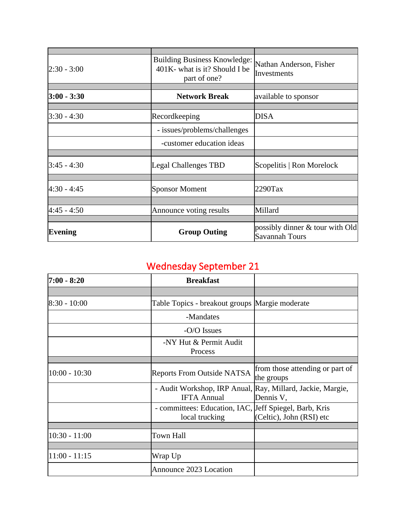| $2:30 - 3:00$   | <b>Building Business Knowledge:</b><br>401K- what is it? Should I be<br>part of one? | Nathan Anderson, Fisher<br>Investments                      |
|-----------------|--------------------------------------------------------------------------------------|-------------------------------------------------------------|
|                 |                                                                                      |                                                             |
| $3:00 - 3:30$   | <b>Network Break</b>                                                                 | available to sponsor                                        |
|                 |                                                                                      |                                                             |
| $ 3:30 - 4:30 $ | Recordkeeping                                                                        | <b>DISA</b>                                                 |
|                 | - issues/problems/challenges                                                         |                                                             |
|                 | -customer education ideas                                                            |                                                             |
|                 |                                                                                      |                                                             |
| $3:45 - 4:30$   | Legal Challenges TBD                                                                 | Scopelitis   Ron Morelock                                   |
|                 |                                                                                      |                                                             |
| 4:30 - 4:45     | <b>Sponsor Moment</b>                                                                | $2290$ Tax                                                  |
|                 |                                                                                      |                                                             |
| $4:45 - 4:50$   | Announce voting results                                                              | Millard                                                     |
|                 |                                                                                      |                                                             |
| <b>Evening</b>  | <b>Group Outing</b>                                                                  | possibly dinner $\&$ tour with Old<br><b>Savannah Tours</b> |

## Wednesday September 21

| $7:00 - 8:20$   | <b>Breakfast</b>                                                                 |                                               |
|-----------------|----------------------------------------------------------------------------------|-----------------------------------------------|
|                 |                                                                                  |                                               |
| 8:30 - 10:00    | Table Topics - breakout groups Margie moderate                                   |                                               |
|                 | -Mandates                                                                        |                                               |
|                 | -O/O Issues                                                                      |                                               |
|                 | -NY Hut & Permit Audit<br>Process                                                |                                               |
|                 |                                                                                  |                                               |
| $10:00 - 10:30$ | <b>Reports From Outside NATSA</b>                                                | from those attending or part of<br>the groups |
|                 | - Audit Workshop, IRP Anual, Ray, Millard, Jackie, Margie,<br><b>IFTA Annual</b> | Dennis V,                                     |
|                 | - committees: Education, IAC, Jeff Spiegel, Barb, Kris<br>local trucking         | (Celtic), John (RSI) etc                      |
|                 |                                                                                  |                                               |
| $10:30 - 11:00$ | Town Hall                                                                        |                                               |
|                 |                                                                                  |                                               |
| $11:00 - 11:15$ | Wrap Up                                                                          |                                               |
|                 | Announce 2023 Location                                                           |                                               |